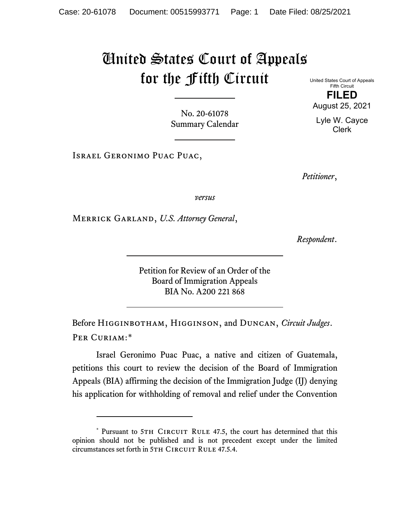## United States Court of Appeals for the Fifth Circuit

Fifth Circuit **FILED** August 25, 2021

United States Court of Appeals

Lyle W. Cayce Clerk

No. 20-61078 Summary Calendar

Israel Geronimo Puac Puac,

*Petitioner*,

*versus*

Merrick Garland, *U.S. Attorney General*,

*Respondent*.

Petition for Review of an Order of the Board of Immigration Appeals BIA No. A200 221 868

Before Higginbotham, Higginson, and Duncan, *Circuit Judges*. Per Curiam:[\\*](#page-0-0)

Israel Geronimo Puac Puac, a native and citizen of Guatemala, petitions this court to review the decision of the Board of Immigration Appeals (BIA) affirming the decision of the Immigration Judge (IJ) denying his application for withholding of removal and relief under the Convention

<span id="page-0-0"></span><sup>\*</sup> Pursuant to 5TH CIRCUIT RULE 47.5, the court has determined that this opinion should not be published and is not precedent except under the limited circumstances set forth in 5TH CIRCUIT RULE 47.5.4.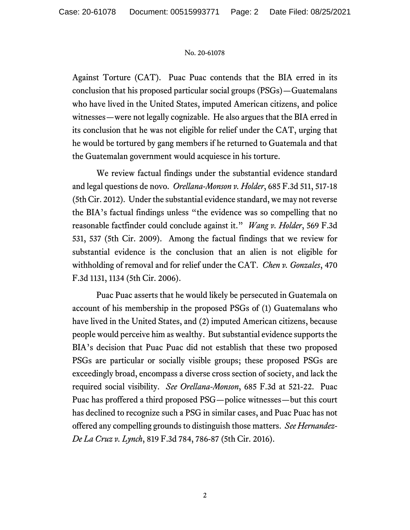## No. 20-61078

Against Torture (CAT). Puac Puac contends that the BIA erred in its conclusion that his proposed particular social groups (PSGs)—Guatemalans who have lived in the United States, imputed American citizens, and police witnesses—were not legally cognizable. He also argues that the BIA erred in its conclusion that he was not eligible for relief under the CAT, urging that he would be tortured by gang members if he returned to Guatemala and that the Guatemalan government would acquiesce in his torture.

We review factual findings under the substantial evidence standard and legal questions de novo. *Orellana-Monson v. Holder*, 685 F.3d 511, 517-18 (5th Cir. 2012). Under the substantial evidence standard, we may not reverse the BIA's factual findings unless "the evidence was so compelling that no reasonable factfinder could conclude against it." *Wang v. Holder*, 569 F.3d 531, 537 (5th Cir. 2009). Among the factual findings that we review for substantial evidence is the conclusion that an alien is not eligible for withholding of removal and for relief under the CAT. *Chen v. Gonzales*, 470 F.3d 1131, 1134 (5th Cir. 2006).

Puac Puac asserts that he would likely be persecuted in Guatemala on account of his membership in the proposed PSGs of (1) Guatemalans who have lived in the United States, and (2) imputed American citizens, because people would perceive him as wealthy. But substantial evidence supports the BIA's decision that Puac Puac did not establish that these two proposed PSGs are particular or socially visible groups; these proposed PSGs are exceedingly broad, encompass a diverse cross section of society, and lack the required social visibility. *See Orellana-Monson*, 685 F.3d at 521-22. Puac Puac has proffered a third proposed PSG—police witnesses—but this court has declined to recognize such a PSG in similar cases, and Puac Puac has not offered any compelling grounds to distinguish those matters. *See Hernandez-De La Cruz v. Lynch*, 819 F.3d 784, 786-87 (5th Cir. 2016).